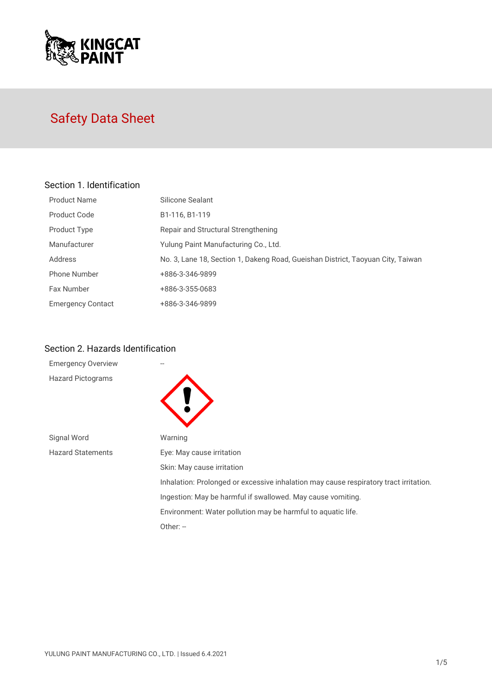

# Safety Data Sheet

## Section 1. Identification

| <b>Product Name</b>      | Silicone Sealant                                                                |
|--------------------------|---------------------------------------------------------------------------------|
| Product Code             | B1-116, B1-119                                                                  |
| Product Type             | Repair and Structural Strengthening                                             |
| Manufacturer             | Yulung Paint Manufacturing Co., Ltd.                                            |
| Address                  | No. 3, Lane 18, Section 1, Dakeng Road, Gueishan District, Taoyuan City, Taiwan |
| <b>Phone Number</b>      | +886-3-346-9899                                                                 |
| Fax Number               | +886-3-355-0683                                                                 |
| <b>Emergency Contact</b> | +886-3-346-9899                                                                 |

## Section 2. Hazards Identification

| <b>Emergency Overview</b> |                                                                                       |
|---------------------------|---------------------------------------------------------------------------------------|
| <b>Hazard Pictograms</b>  |                                                                                       |
| Signal Word               | Warning                                                                               |
| <b>Hazard Statements</b>  | Eye: May cause irritation                                                             |
|                           | Skin: May cause irritation                                                            |
|                           | Inhalation: Prolonged or excessive inhalation may cause respiratory tract irritation. |
|                           | Ingestion: May be harmful if swallowed. May cause vomiting.                           |
|                           | Environment: Water pollution may be harmful to aquatic life.                          |
|                           | Other: $-$                                                                            |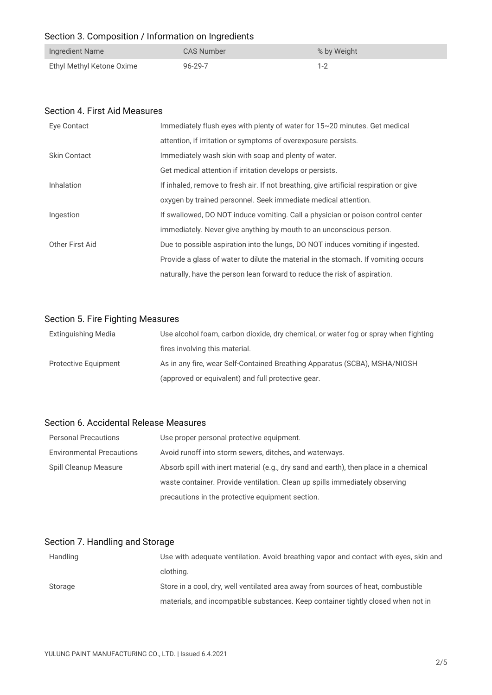# Section 3. Composition / Information on Ingredients

| Ingredient Name           | CAS Number    | % by Weight |
|---------------------------|---------------|-------------|
| Ethyl Methyl Ketone Oxime | $96 - 29 - 7$ | $1 - 2$     |

#### Section 4. First Aid Measures

| Eye Contact         | Immediately flush eyes with plenty of water for 15~20 minutes. Get medical             |
|---------------------|----------------------------------------------------------------------------------------|
|                     | attention, if irritation or symptoms of overexposure persists.                         |
| <b>Skin Contact</b> | Immediately wash skin with soap and plenty of water.                                   |
|                     | Get medical attention if irritation develops or persists.                              |
| <b>Inhalation</b>   | If inhaled, remove to fresh air. If not breathing, give artificial respiration or give |
|                     | oxygen by trained personnel. Seek immediate medical attention.                         |
| Ingestion           | If swallowed, DO NOT induce vomiting. Call a physician or poison control center        |
|                     | immediately. Never give anything by mouth to an unconscious person.                    |
| Other First Aid     | Due to possible aspiration into the lungs, DO NOT induces vomiting if ingested.        |
|                     | Provide a glass of water to dilute the material in the stomach. If vomiting occurs     |
|                     | naturally, have the person lean forward to reduce the risk of aspiration.              |

## Section 5. Fire Fighting Measures

| Extinguishing Media         | Use alcohol foam, carbon dioxide, dry chemical, or water fog or spray when fighting |
|-----------------------------|-------------------------------------------------------------------------------------|
|                             | fires involving this material.                                                      |
| <b>Protective Equipment</b> | As in any fire, wear Self-Contained Breathing Apparatus (SCBA), MSHA/NIOSH          |
|                             | (approved or equivalent) and full protective gear.                                  |

## Section 6. Accidental Release Measures

| <b>Personal Precautions</b>      | Use proper personal protective equipment.                                             |
|----------------------------------|---------------------------------------------------------------------------------------|
| <b>Environmental Precautions</b> | Avoid runoff into storm sewers, ditches, and waterways.                               |
| Spill Cleanup Measure            | Absorb spill with inert material (e.g., dry sand and earth), then place in a chemical |
|                                  | waste container. Provide ventilation. Clean up spills immediately observing           |
|                                  | precautions in the protective equipment section.                                      |

# Section 7. Handling and Storage

| Handling | Use with adequate ventilation. Avoid breathing vapor and contact with eyes, skin and |
|----------|--------------------------------------------------------------------------------------|
|          | clothing.                                                                            |
| Storage  | Store in a cool, dry, well ventilated area away from sources of heat, combustible    |
|          | materials, and incompatible substances. Keep container tightly closed when not in    |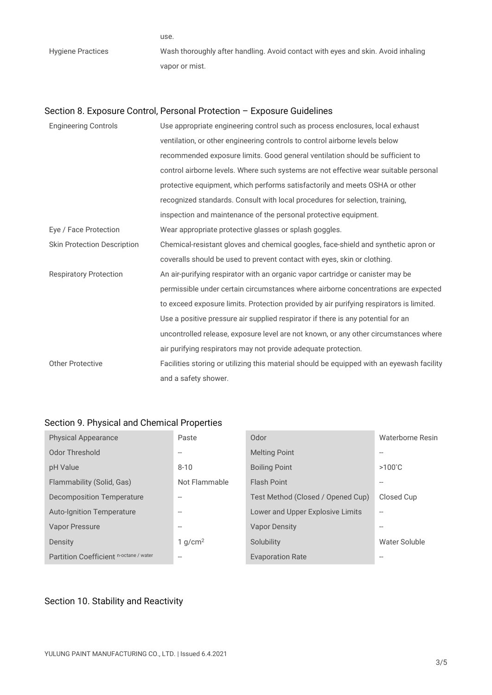use. Hygiene Practices Wash thoroughly after handling. Avoid contact with eyes and skin. Avoid inhaling vapor or mist.

## Section 8. Exposure Control, Personal Protection – Exposure Guidelines

| <b>Engineering Controls</b>        | Use appropriate engineering control such as process enclosures, local exhaust             |
|------------------------------------|-------------------------------------------------------------------------------------------|
|                                    | ventilation, or other engineering controls to control airborne levels below               |
|                                    | recommended exposure limits. Good general ventilation should be sufficient to             |
|                                    | control airborne levels. Where such systems are not effective wear suitable personal      |
|                                    | protective equipment, which performs satisfactorily and meets OSHA or other               |
|                                    | recognized standards. Consult with local procedures for selection, training,              |
|                                    | inspection and maintenance of the personal protective equipment.                          |
| Eye / Face Protection              | Wear appropriate protective glasses or splash goggles.                                    |
| <b>Skin Protection Description</b> | Chemical-resistant gloves and chemical googles, face-shield and synthetic apron or        |
|                                    | coveralls should be used to prevent contact with eyes, skin or clothing.                  |
| <b>Respiratory Protection</b>      | An air-purifying respirator with an organic vapor cartridge or canister may be            |
|                                    | permissible under certain circumstances where airborne concentrations are expected        |
|                                    | to exceed exposure limits. Protection provided by air purifying respirators is limited.   |
|                                    | Use a positive pressure air supplied respirator if there is any potential for an          |
|                                    | uncontrolled release, exposure level are not known, or any other circumstances where      |
|                                    | air purifying respirators may not provide adequate protection.                            |
| <b>Other Protective</b>            | Facilities storing or utilizing this material should be equipped with an eyewash facility |
|                                    | and a safety shower.                                                                      |

## Section 9. Physical and Chemical Properties

| <b>Physical Appearance</b>             | Paste                    | Odor                              | Waterborne Resin         |
|----------------------------------------|--------------------------|-----------------------------------|--------------------------|
| Odor Threshold                         | $-$                      | <b>Melting Point</b>              | $\overline{\phantom{a}}$ |
| pH Value                               | $8 - 10$                 | <b>Boiling Point</b>              | $>100^{\circ}$ C         |
| Flammability (Solid, Gas)              | Not Flammable            | <b>Flash Point</b>                | $\overline{\phantom{a}}$ |
| Decomposition Temperature              | $\overline{\phantom{0}}$ | Test Method (Closed / Opened Cup) | Closed Cup               |
| <b>Auto-Ignition Temperature</b>       | $-$                      | Lower and Upper Explosive Limits  | $\overline{\phantom{a}}$ |
| Vapor Pressure                         | $- -$                    | <b>Vapor Density</b>              | $\overline{\phantom{a}}$ |
| Density                                | 1 $q/cm^2$               | Solubility                        | Water Soluble            |
| Partition Coefficient n-octane / water | $-$                      | <b>Evaporation Rate</b>           | $- -$                    |

# Section 10. Stability and Reactivity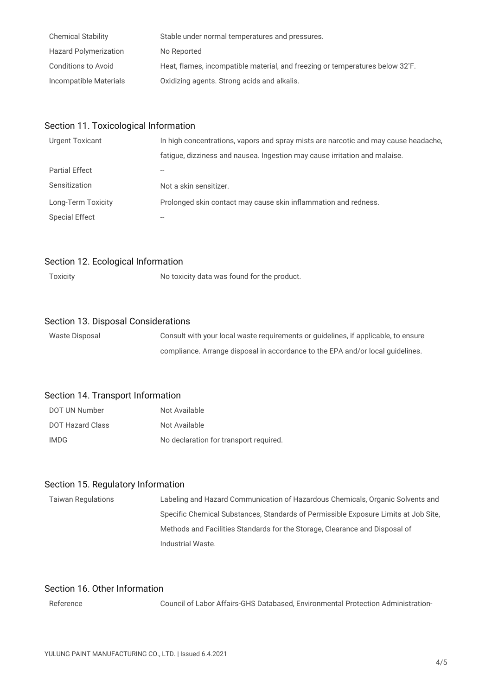| <b>Chemical Stability</b>    | Stable under normal temperatures and pressures.                                            |
|------------------------------|--------------------------------------------------------------------------------------------|
| <b>Hazard Polymerization</b> | No Reported                                                                                |
| Conditions to Avoid          | Heat, flames, incompatible material, and freezing or temperatures below 32 <sup>°</sup> F. |
| Incompatible Materials       | Oxidizing agents. Strong acids and alkalis.                                                |

#### Section 11. Toxicological Information

| <b>Urgent Toxicant</b> | In high concentrations, vapors and spray mists are narcotic and may cause headache, |
|------------------------|-------------------------------------------------------------------------------------|
|                        | fatigue, dizziness and nausea. Ingestion may cause irritation and malaise.          |
| <b>Partial Effect</b>  |                                                                                     |
| Sensitization          | Not a skin sensitizer.                                                              |
| Long-Term Toxicity     | Prolonged skin contact may cause skin inflammation and redness.                     |
| <b>Special Effect</b>  |                                                                                     |

#### Section 12. Ecological Information

Toxicity No toxicity data was found for the product.

#### Section 13. Disposal Considerations

| Waste Disposal | Consult with your local waste requirements or guidelines, if applicable, to ensure |
|----------------|------------------------------------------------------------------------------------|
|                | compliance. Arrange disposal in accordance to the EPA and/or local quidelines.     |

#### Section 14. Transport Information

| DOT UN Number    | Not Available                          |
|------------------|----------------------------------------|
| DOT Hazard Class | Not Available                          |
| IMDG             | No declaration for transport required. |

#### Section 15. Regulatory Information

Taiwan Regulations Labeling and Hazard Communication of Hazardous Chemicals, Organic Solvents and Specific Chemical Substances, Standards of Permissible Exposure Limits at Job Site, Methods and Facilities Standards for the Storage, Clearance and Disposal of Industrial Waste.

## Section 16. Other Information

Reference Council of Labor Affairs-GHS Databased, Environmental Protection Administration-